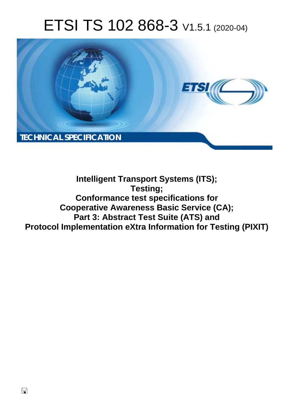# ETSI TS 102 868-3 V1.5.1 (2020-04)



## **Intelligent Transport Systems (ITS); Testing; Conformance test specifications for Cooperative Awareness Basic Service (CA); Part 3: Abstract Test Suite (ATS) and Protocol Implementation eXtra Information for Testing (PIXIT)**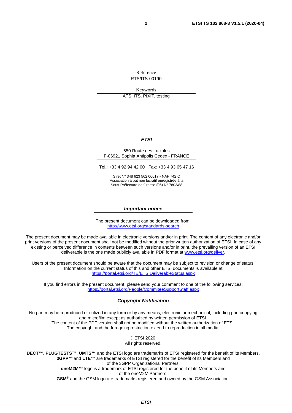Reference RTS/ITS-00190

Keywords

ATS, ITS, PIXIT, testing

#### *ETSI*

#### 650 Route des Lucioles F-06921 Sophia Antipolis Cedex - FRANCE

Tel.: +33 4 92 94 42 00 Fax: +33 4 93 65 47 16

Siret N° 348 623 562 00017 - NAF 742 C Association à but non lucratif enregistrée à la Sous-Préfecture de Grasse (06) N° 7803/88

#### *Important notice*

The present document can be downloaded from: <http://www.etsi.org/standards-search>

The present document may be made available in electronic versions and/or in print. The content of any electronic and/or print versions of the present document shall not be modified without the prior written authorization of ETSI. In case of any existing or perceived difference in contents between such versions and/or in print, the prevailing version of an ETSI deliverable is the one made publicly available in PDF format at [www.etsi.org/deliver](http://www.etsi.org/deliver).

Users of the present document should be aware that the document may be subject to revision or change of status. Information on the current status of this and other ETSI documents is available at <https://portal.etsi.org/TB/ETSIDeliverableStatus.aspx>

If you find errors in the present document, please send your comment to one of the following services: <https://portal.etsi.org/People/CommiteeSupportStaff.aspx>

#### *Copyright Notification*

No part may be reproduced or utilized in any form or by any means, electronic or mechanical, including photocopying and microfilm except as authorized by written permission of ETSI. The content of the PDF version shall not be modified without the written authorization of ETSI. The copyright and the foregoing restriction extend to reproduction in all media.

> © ETSI 2020. All rights reserved.

**DECT™**, **PLUGTESTS™**, **UMTS™** and the ETSI logo are trademarks of ETSI registered for the benefit of its Members. **3GPP™** and **LTE™** are trademarks of ETSI registered for the benefit of its Members and of the 3GPP Organizational Partners. **oneM2M™** logo is a trademark of ETSI registered for the benefit of its Members and of the oneM2M Partners. **GSM®** and the GSM logo are trademarks registered and owned by the GSM Association.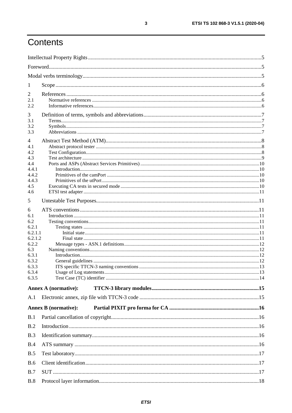## Contents

| 1                |                             |  |
|------------------|-----------------------------|--|
| 2                |                             |  |
| 2.1              |                             |  |
| 2.2              |                             |  |
| 3                |                             |  |
| 3.1              |                             |  |
| 3.2<br>3.3       |                             |  |
|                  |                             |  |
| 4                |                             |  |
| 4.1<br>4.2       |                             |  |
| 4.3              |                             |  |
| 4.4              |                             |  |
| 4.4.1            |                             |  |
| 4.4.2            |                             |  |
| 4.4.3<br>4.5     |                             |  |
| 4.6              |                             |  |
| 5                |                             |  |
| 6                |                             |  |
| 6.1              |                             |  |
| 6.2              |                             |  |
| 6.2.1            |                             |  |
| 6.2.1.1          |                             |  |
| 6.2.1.2<br>6.2.2 |                             |  |
| 6.3              |                             |  |
| 6.3.1            |                             |  |
| 6.3.2            |                             |  |
| 6.3.3            |                             |  |
| 6.3.4<br>6.3.5   |                             |  |
|                  | <b>Annex A (normative):</b> |  |
|                  |                             |  |
| A.1              |                             |  |
|                  | <b>Annex B</b> (normative): |  |
| B.1              |                             |  |
| B.2              |                             |  |
| B.3              |                             |  |
| B.4              |                             |  |
| B.5              |                             |  |
| <b>B.6</b>       |                             |  |
| B.7              |                             |  |
| B.8              |                             |  |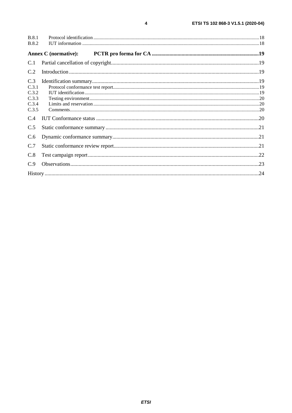| <b>B.8.1</b> |                      |  |
|--------------|----------------------|--|
| <b>B.8.2</b> |                      |  |
|              | Annex C (normative): |  |
| C.1          |                      |  |
| C.2          |                      |  |
| C.3          |                      |  |
| C.3.1        |                      |  |
| C.3.2        |                      |  |
| C.3.3        |                      |  |
| C.3.4        |                      |  |
| C.3.5        |                      |  |
| C.4          |                      |  |
| C.5          |                      |  |
| C.6          |                      |  |
| C.7          |                      |  |
| C.8          |                      |  |
| C.9          |                      |  |
|              |                      |  |

 $\overline{\mathbf{4}}$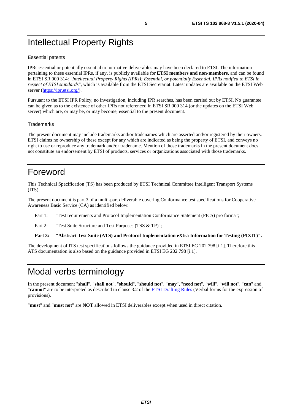## <span id="page-4-0"></span>Intellectual Property Rights

#### Essential patents

IPRs essential or potentially essential to normative deliverables may have been declared to ETSI. The information pertaining to these essential IPRs, if any, is publicly available for **ETSI members and non-members**, and can be found in ETSI SR 000 314: *"Intellectual Property Rights (IPRs); Essential, or potentially Essential, IPRs notified to ETSI in respect of ETSI standards"*, which is available from the ETSI Secretariat. Latest updates are available on the ETSI Web server ([https://ipr.etsi.org/\)](https://ipr.etsi.org/).

Pursuant to the ETSI IPR Policy, no investigation, including IPR searches, has been carried out by ETSI. No guarantee can be given as to the existence of other IPRs not referenced in ETSI SR 000 314 (or the updates on the ETSI Web server) which are, or may be, or may become, essential to the present document.

#### **Trademarks**

The present document may include trademarks and/or tradenames which are asserted and/or registered by their owners. ETSI claims no ownership of these except for any which are indicated as being the property of ETSI, and conveys no right to use or reproduce any trademark and/or tradename. Mention of those trademarks in the present document does not constitute an endorsement by ETSI of products, services or organizations associated with those trademarks.

### Foreword

This Technical Specification (TS) has been produced by ETSI Technical Committee Intelligent Transport Systems (ITS).

The present document is part 3 of a multi-part deliverable covering Conformance test specifications for Cooperative Awareness Basic Service (CA) as identified below:

Part 1: "Test requirements and Protocol Implementation Conformance Statement (PICS) pro forma";

Part 2: "Test Suite Structure and Test Purposes (TSS & TP)";

**Part 3: "Abstract Test Suite (ATS) and Protocol Implementation eXtra Information for Testing (PIXIT)".** 

The development of ITS test specifications follows the guidance provided in ETSI EG 202 798 [\[i.1\]](#page-5-0). Therefore this ATS documentation is also based on the guidance provided in ETSI EG 202 798 [\[i.1](#page-5-0)].

## Modal verbs terminology

In the present document "**shall**", "**shall not**", "**should**", "**should not**", "**may**", "**need not**", "**will**", "**will not**", "**can**" and "**cannot**" are to be interpreted as described in clause 3.2 of the [ETSI Drafting Rules](https://portal.etsi.org/Services/editHelp!/Howtostart/ETSIDraftingRules.aspx) (Verbal forms for the expression of provisions).

"**must**" and "**must not**" are **NOT** allowed in ETSI deliverables except when used in direct citation.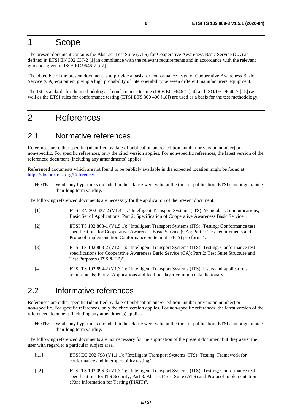### <span id="page-5-0"></span>1 Scope

The present document contains the Abstract Test Suite (ATS) for Cooperative Awareness Basic Service (CA) as defined in ETSI EN 302 637-2 [1] in compliance with the relevant requirements and in accordance with the relevant guidance given in ISO/IEC 9646-7 [[i.7](#page-6-0)].

The objective of the present document is to provide a basis for conformance tests for Cooperative Awareness Basic Service (CA) equipment giving a high probability of interoperability between different manufacturers' equipment.

The ISO standards for the methodology of conformance testing (ISO/IEC 9646-1 [\[i.4\]](#page-6-0) and ISO/IEC 9646-2 [\[i.5](#page-6-0)]) as well as the ETSI rules for conformance testing (ETSI ETS 300 406 [\[i.8](#page-6-0)]) are used as a basis for the test methodology.

### 2 References

### 2.1 Normative references

References are either specific (identified by date of publication and/or edition number or version number) or non-specific. For specific references, only the cited version applies. For non-specific references, the latest version of the referenced document (including any amendments) applies.

Referenced documents which are not found to be publicly available in the expected location might be found at <https://docbox.etsi.org/Reference/>.

NOTE: While any hyperlinks included in this clause were valid at the time of publication, ETSI cannot guarantee their long term validity.

The following referenced documents are necessary for the application of the present document.

- [1] ETSI EN 302 637-2 (V1.4.1): "Intelligent Transport Systems (ITS); Vehicular Communications; Basic Set of Applications; Part 2: Specification of Cooperative Awareness Basic Service".
- [2] ETSI TS 102 868-1 (V1.5.1): "Intelligent Transport Systems (ITS); Testing; Conformance test specifications for Cooperative Awareness Basic Service (CA); Part 1: Test requirements and Protocol Implementation Conformance Statement (PICS) pro forma".
- [3] ETSI TS 102 868-2 (V1.5.1): "Intelligent Transport Systems (ITS); Testing; Conformance test specifications for Cooperative Awareness Basic Service (CA); Part 2: Test Suite Structure and Test Purposes (TSS & TP)".
- [4] ETSI TS 102 894-2 (V1.3.1): "Intelligent Transport Systems (ITS); Users and applications requirements; Part 2: Applications and facilities layer common data dictionary".

### 2.2 Informative references

References are either specific (identified by date of publication and/or edition number or version number) or non-specific. For specific references, only the cited version applies. For non-specific references, the latest version of the referenced document (including any amendments) applies.

NOTE: While any hyperlinks included in this clause were valid at the time of publication, ETSI cannot guarantee their long term validity.

The following referenced documents are not necessary for the application of the present document but they assist the user with regard to a particular subject area.

- [i.1] ETSI EG 202 798 (V1.1.1): "Intelligent Transport Systems (ITS); Testing; Framework for conformance and interoperability testing".
- [i.2] ETSI TS 103 096-3 (V1.3.1): "Intelligent Transport Systems (ITS); Testing; Conformance test specifications for ITS Security; Part 3: Abstract Test Suite (ATS) and Protocol Implementation eXtra Information for Testing (PIXIT)".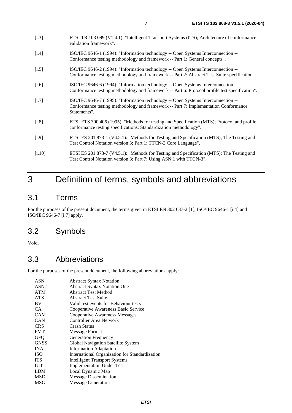- <span id="page-6-0"></span>[i.4] ISO/IEC 9646-1 (1994): "Information technology -- Open Systems Interconnection -- Conformance testing methodology and framework -- Part 1: General concepts".
- [i.5] ISO/IEC 9646-2 (1994): "Information technology -- Open Systems Interconnection --Conformance testing methodology and framework -- Part 2: Abstract Test Suite specification".
- [i.6] ISO/IEC 9646-6 (1994): "Information technology -- Open Systems Interconnection -- Conformance testing methodology and framework -- Part 6: Protocol profile test specification".
- [i.7] ISO/IEC 9646-7 (1995): "Information technology -- Open Systems Interconnection -- Conformance testing methodology and framework -- Part 7: Implementation Conformance Statements".
- [i.8] ETSI ETS 300 406 (1995): "Methods for testing and Specification (MTS); Protocol and profile conformance testing specifications; Standardization methodology".
- [i.9] ETSI ES 201 873-1 (V4.5.1): "Methods for Testing and Specification (MTS); The Testing and Test Control Notation version 3; Part 1: TTCN-3 Core Language".
- [i.10] ETSI ES 201 873-7 (V4.5.1): "Methods for Testing and Specification (MTS); The Testing and Test Control Notation version 3; Part 7: Using ASN.1 with TTCN-3".

## 3 Definition of terms, symbols and abbreviations

### 3.1 Terms

For the purposes of the present document, the terms given in ETSI EN 302 637-2 [\[1](#page-5-0)], ISO/IEC 9646-1 [i.4] and ISO/IEC 9646-7 [i.7] apply.

### 3.2 Symbols

Void.

### 3.3 Abbreviations

For the purposes of the present document, the following abbreviations apply:

| <b>ASN</b>  | <b>Abstract Syntax Notation</b>                |
|-------------|------------------------------------------------|
| ASN.1       | <b>Abstract Syntax Notation One</b>            |
| <b>ATM</b>  | <b>Abstract Test Method</b>                    |
| <b>ATS</b>  | <b>Abstract Test Suite</b>                     |
| BV          | Valid test events for Behaviour tests          |
| CA.         | Cooperative Awareness Basic Service            |
| <b>CAM</b>  | <b>Cooperative Awareness Messages</b>          |
| CAN         | Controller Area Network                        |
| <b>CRS</b>  | Crash Status                                   |
| <b>FMT</b>  | Message Format                                 |
| <b>GFO</b>  | <b>Generation Frequency</b>                    |
| <b>GNSS</b> | Global Navigation Satellite System             |
| <b>INA</b>  | <b>Information Adaptation</b>                  |
| <b>ISO</b>  | International Organization for Standardization |
| <b>ITS</b>  | <b>Intelligent Transport Systems</b>           |
| <b>IUT</b>  | <b>Implementation Under Test</b>               |
| <b>LDM</b>  | Local Dynamic Map                              |
| MSD         | <b>Message Dissemination</b>                   |
| MSG         | <b>Message Generation</b>                      |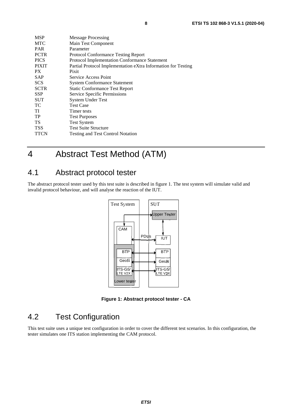<span id="page-7-0"></span>

| <b>MSP</b>   | <b>Message Processing</b>                                     |
|--------------|---------------------------------------------------------------|
| <b>MTC</b>   | Main Test Component                                           |
| <b>PAR</b>   | Parameter                                                     |
| <b>PCTR</b>  | <b>Protocol Conformance Testing Report</b>                    |
| <b>PICS</b>  | Protocol Implementation Conformance Statement                 |
| <b>PIXIT</b> | Partial Protocol Implementation eXtra Information for Testing |
| PX.          | Pixit                                                         |
| <b>SAP</b>   | Service Access Point                                          |
| <b>SCS</b>   | <b>System Conformance Statement</b>                           |
| <b>SCTR</b>  | <b>Static Conformance Test Report</b>                         |
| <b>SSP</b>   | Service Specific Permissions                                  |
| <b>SUT</b>   | <b>System Under Test</b>                                      |
| TС           | <b>Test Case</b>                                              |
| ТI           | Timer tests                                                   |
| TP           | <b>Test Purposes</b>                                          |
| TS           | <b>Test System</b>                                            |
| <b>TSS</b>   | <b>Test Suite Structure</b>                                   |
| <b>TTCN</b>  | <b>Testing and Test Control Notation</b>                      |

## 4 Abstract Test Method (ATM)

### 4.1 Abstract protocol tester

The abstract protocol tester used by this test suite is described in figure 1. The test system will simulate valid and invalid protocol behaviour, and will analyse the reaction of the IUT.



**Figure 1: Abstract protocol tester - CA** 

### 4.2 Test Configuration

This test suite uses a unique test configuration in order to cover the different test scenarios. In this configuration, the tester simulates one ITS station implementing the CAM protocol.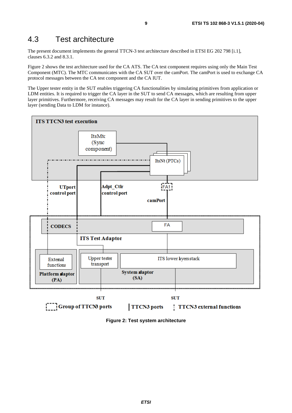### <span id="page-8-0"></span>4.3 Test architecture

The present document implements the general TTCN-3 test architecture described in ETSI EG 202 798 [[i.1](#page-5-0)], clauses 6.3.2 and 8.3.1.

Figure 2 shows the test architecture used for the CA ATS. The CA test component requires using only the Main Test Component (MTC). The MTC communicates with the CA SUT over the camPort. The camPort is used to exchange CA protocol messages between the CA test component and the CA IUT.

The Upper tester entity in the SUT enables triggering CA functionalities by simulating primitives from application or LDM entities. It is required to trigger the CA layer in the SUT to send CA messages, which are resulting from upper layer primitives. Furthermore, receiving CA messages may result for the CA layer in sending primitives to the upper layer (sending Data to LDM for instance).



**Figure 2: Test system architecture**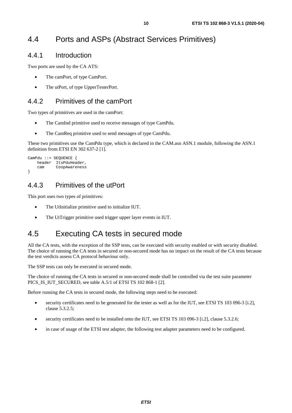## <span id="page-9-0"></span>4.4 Ports and ASPs (Abstract Services Primitives)

### 4.4.1 Introduction

Two ports are used by the CA ATS:

- The camPort, of type CamPort.
- The utPort, of type UpperTesterPort.

### 4.4.2 Primitives of the camPort

Two types of primitives are used in the camPort:

- The CamInd primitive used to receive messages of type CamPdu.
- The CamReq primitive used to send messages of type CamPdu.

These two primitives use the CamPdu type, which is declared in the CAM.asn ASN.1 module, following the ASN.1 definition from ETSI EN 302 637-2 [\[1](#page-5-0)].

```
CamPdu ::= SEQUENCE { 
     header ItsPduHeader, 
     cam CoopAwareness 
}
```
### 4.4.3 Primitives of the utPort

This port uses two types of primitives:

- The UtInitialize primitive used to initialize IUT.
- The UtTrigger primitive used trigger upper layer events in IUT.

### 4.5 Executing CA tests in secured mode

All the CA tests, with the exception of the SSP tests, can be executed with security enabled or with security disabled. The choice of running the CA tests in secured or non-secured mode has no impact on the result of the CA tests because the test verdicts assess CA protocol behaviour only.

The SSP tests can only be executed in secured mode.

The choice of running the CA tests in secured or non-secured mode shall be controlled via the test suite parameter PICS IS IUT SECURED, see table A.5/1 of ETSI TS 102 868-1 [\[2](#page-5-0)].

Before running the CA tests in secured mode, the following steps need to be executed:

- security certificates need to be generated for the tester as well as for the IUT, see ETSI TS 103 096-3 [[i.2\]](#page-5-0), clause 5.3.2.5;
- security certificates need to be installed onto the IUT, see ETSI TS 103 096-3 [\[i.2](#page-5-0)], clause 5.3.2.6;
- in case of usage of the ETSI test adapter, the following test adapter parameters need to be configured.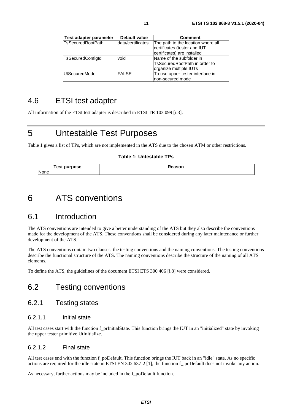<span id="page-10-0"></span>

| Test adapter parameter    | Default value     | <b>Comment</b>                                                                                    |
|---------------------------|-------------------|---------------------------------------------------------------------------------------------------|
| <b>ITsSecuredRootPath</b> | data/certificates | The path to the location where all<br>certificates (tester and IUT<br>certificates) are installed |
| <b>TsSecuredConfigld</b>  | void              | Name of the subfolder in<br>lTsSecuredRootPath in order to<br>organize multiple IUTs              |
| UtSecuredMode             | <b>FALSE</b>      | To use upper-tester interface in<br>non-secured mode                                              |

### 4.6 ETSI test adapter

All information of the ETSI test adapter is described in ETSI TR 103 099 [\[i.3\]](#page-6-0).

## 5 Untestable Test Purposes

Table 1 gives a list of TPs, which are not implemented in the ATS due to the chosen ATM or other restrictions.

#### **Table 1: Untestable TPs**

| <b>Fest purpose</b> | eason |
|---------------------|-------|
| None                |       |

## 6 ATS conventions

### 6.1 Introduction

The ATS conventions are intended to give a better understanding of the ATS but they also describe the conventions made for the development of the ATS. These conventions shall be considered during any later maintenance or further development of the ATS.

The ATS conventions contain two clauses, the testing conventions and the naming conventions. The testing conventions describe the functional structure of the ATS. The naming conventions describe the structure of the naming of all ATS elements.

To define the ATS, the guidelines of the document ETSI ETS 300 406 [\[i.8\]](#page-6-0) were considered.

### 6.2 Testing conventions

#### 6.2.1 Testing states

#### 6.2.1.1 Initial state

All test cases start with the function f\_prInitialState. This function brings the IUT in an "initialized" state by invoking the upper tester primitive UtInitialize.

#### 6.2.1.2 Final state

All test cases end with the function f poDefault. This function brings the IUT back in an "idle" state. As no specific actions are required for the idle state in ETSI EN 302 637-2 [\[1](#page-5-0)], the function f\_ poDefault does not invoke any action.

As necessary, further actions may be included in the f\_poDefault function.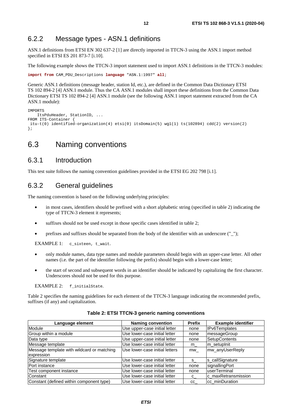### <span id="page-11-0"></span>6.2.2 Message types - ASN.1 definitions

ASN.1 definitions from ETSI EN 302 637-2 [[1\]](#page-5-0) are directly imported in TTCN-3 using the ASN.1 import method specified in ETSI ES 201 873-7 [[i.10](#page-6-0)].

The following example shows the TTCN-3 import statement used to import ASN.1 definitions in the TTCN-3 modules:

```
import from CAM_PDU_Descriptions language "ASN.1:1997" all;
```
Generic ASN.1 definitions (message header, station Id, etc.), are defined in the Common Data Dictionary ETSI TS 102 894-2 [\[4\]](#page-5-0) ASN.1 module. Thus the CA ASN.1 modules shall import these definitions from the Common Data Dictionary ETSI TS 102 894-2 [\[4](#page-5-0)] ASN.1 module (see the following ASN.1 import statement extracted from the CA ASN.1 module):

```
IMPORTS 
    ItsPduHeader, StationID, ... 
FROM ITS-Container { 
 itu-t(0) identified-organization(4) etsi(0) itsDomain(5) wg1(1) ts(102894) cdd(2) version(2) 
};
```
### 6.3 Naming conventions

#### 6.3.1 Introduction

This test suite follows the naming convention guidelines provided in the ETSI EG 202 798 [[i.1](#page-5-0)].

#### 6.3.2 General guidelines

The naming convention is based on the following underlying principles:

- in most cases, identifiers should be prefixed with a short alphabetic string (specified in table 2) indicating the type of TTCN-3 element it represents;
- suffixes should not be used except in those specific cases identified in table 2;
- prefixes and suffixes should be separated from the body of the identifier with an underscore (" $"$ );

EXAMPLE 1: c\_sixteen, t\_wait.

- only module names, data type names and module parameters should begin with an upper-case letter. All other names (i.e. the part of the identifier following the prefix) should begin with a lower-case letter;
- the start of second and subsequent words in an identifier should be indicated by capitalizing the first character. Underscores should not be used for this purpose.

EXAMPLE 2: f\_initialState.

Table 2 specifies the naming guidelines for each element of the TTCN-3 language indicating the recommended prefix, suffixes (if any) and capitalization.

| Language element                           | <b>Naming convention</b>       | <b>Prefix</b> | <b>Example identifier</b> |
|--------------------------------------------|--------------------------------|---------------|---------------------------|
| Module                                     | Use upper-case initial letter  | none          | <b>IPv6Templates</b>      |
| Group within a module                      | Use lower-case initial letter  | none          | messageGroup              |
| Data type                                  | Use upper-case initial letter  | none          | <b>SetupContents</b>      |
| Message template                           | Use lower-case initial letter  | m             | m setuplnit               |
| Message template with wildcard or matching | Use lower-case initial letters | mw            | mw anyUserReply           |
| expression                                 |                                |               |                           |
| Signature template                         | Use lower-case initial letter  | $S_{-}$       | s_callSignature           |
| Port instance                              | Use lower-case initial letter  | none          | signallingPort            |
| Test component instance                    | Use lower-case initial letter  | none          | userTerminal              |
| Constant                                   | Use lower-case initial letter  | $c_{-}$       | c maxRetransmission       |
| Constant (defined within component type)   | Use lower-case initial letter  | cc            | cc minDuration            |

#### **Table 2: ETSI TTCN-3 generic naming conventions**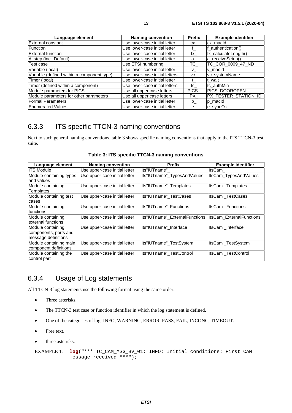<span id="page-12-0"></span>

| Language element                           | <b>Naming convention</b>       | <b>Prefix</b>    | <b>Example identifier</b> |
|--------------------------------------------|--------------------------------|------------------|---------------------------|
| External constant                          | Use lower-case initial letter  | CX               | cx macld                  |
| <b>Function</b>                            | Use lower-case initial letter  |                  | f authentication()        |
| <b>External function</b>                   | Use lower-case initial letter  | fx               | fx_calculateLength()      |
| Altstep (incl. Default)                    | Use lower-case initial letter  | $a_{\mathbf{r}}$ | a receiveSetup()          |
| Test case                                  | Use ETSI numbering             | TC_              | TC_COR_0009_47_ND         |
| Variable (local)                           | Use lower-case initial letter  | V.               | v macld                   |
| Variable (defined within a component type) | Use lower-case initial letters | VC               | vc_systemName             |
| Timer (local)                              | Use lower-case initial letter  |                  | t wait                    |
| Timer (defined within a component)         | Use lower-case initial letters | tc               | tc_authMin                |
| Module parameters for PICS                 | Use all upper case letters     | PICS             | PICS_DOOROPEN             |
| Module parameters for other parameters     | Use all upper case letters     | PX.              | PX_TESTER_STATION_ID      |
| <b>Formal Parameters</b>                   | Use lower-case initial letter  | $p_{-}$          | p_macId                   |
| <b>Enumerated Values</b>                   | Use lower-case initial letter  | е                | e_syncOk                  |

### 6.3.3 ITS specific TTCN-3 naming conventions

Next to such general naming conventions, table 3 shows specific naming conventions that apply to the ITS TTCN-3 test suite.

| Language element                                                  | <b>Naming convention</b>      | <b>Prefix</b>                  | <b>Example identifier</b>       |
|-------------------------------------------------------------------|-------------------------------|--------------------------------|---------------------------------|
| <b>ITS Module</b>                                                 | Use upper-case initial letter | Its"IUTname"                   | ltsCam                          |
| Module containing types<br>and values                             | Use upper-case initial letter | Its"IUTname"_TypesAndValues    | ItsCam_TypesAndValues           |
| Module containing<br>Templates                                    | Use upper-case initial letter | Its"IUTname"_Templates         | ItsCam_Templates                |
| Module containing test<br>cases                                   | Use upper-case initial letter | Its"IUTname" TestCases         | <b>ItsCam TestCases</b>         |
| Module containing<br>functions                                    | Use upper-case initial letter | Its"IUTname" Functions         | ItsCam_Functions                |
| Module containing<br>external functions                           | Use upper-case initial letter | Its"IUTname" ExternalFunctions | <b>ItsCam ExternalFunctions</b> |
| Module containing<br>components, ports and<br>message definitions | Use upper-case initial letter | Its"IUTname" Interface         | ItsCam Interface                |
| Module containing main<br>component definitions                   | Use upper-case initial letter | Its"IUTname"_TestSystem        | ItsCam TestSystem               |
| Module containing the<br>control part                             | Use upper-case initial letter | Its"IUTname" TestControl       | ItsCam TestControl              |

**Table 3: ITS specific TTCN-3 naming conventions** 

### 6.3.4 Usage of Log statements

All TTCN-3 log statements use the following format using the same order:

- Three asterisks.
- The TTCN-3 test case or function identifier in which the log statement is defined.
- One of the categories of log: INFO, WARNING, ERROR, PASS, FAIL, INCONC, TIMEOUT.
- Free text.
- three asterisks.

EXAMPLE 1:  $log("*** TC CAM MSG BV 01: INFO: Initial conditions: First CAM)$ message received  $***$ ");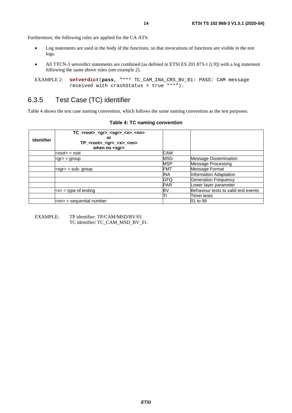<span id="page-13-0"></span>Furthermore, the following rules are applied for the CA ATS:

- Log statements are used in the body of the functions, so that invocations of functions are visible in the test logs.
- All TTCN-3 setverdict statements are combined (as defined in ETSI ES 201 873-1 [\[i.9](#page-6-0)]) with a log statement following the same above rules (see example 2).

```
EXAMPLE 2: setverdict(pass, "*** TC_CAM_INA_CRS_BV_01: PASS: CAM message 
            received with crashStatus = true ***").
```
### 6.3.5 Test Case (TC) identifier

Table 4 shows the test case naming convention, which follows the same naming convention as the test purposes.

| <b>Identifier</b> | $TC$ <root> <gr> <sgr> <x> <nn><br/>or<br/>TP_<root>_<gr>_<x>_<nn><br/>when no <math>&lt;</math>sgr<math>&gt;</math></nn></x></gr></root></nn></x></sgr></gr></root> |            |                                      |
|-------------------|----------------------------------------------------------------------------------------------------------------------------------------------------------------------|------------|--------------------------------------|
|                   | kroot> = root                                                                                                                                                        | CAM        |                                      |
|                   | kgr> = group                                                                                                                                                         | MSD        | <b>Message Dissemination</b>         |
|                   |                                                                                                                                                                      | <b>MSP</b> | <b>Message Processing</b>            |
|                   | ksgr> = sub- group                                                                                                                                                   | FMT        | Message Format                       |
|                   |                                                                                                                                                                      | INA        | Information Adaptation               |
|                   |                                                                                                                                                                      | GFQ        | <b>Generation Frequency</b>          |
|                   |                                                                                                                                                                      | <b>PAR</b> | Lower layer parameter                |
|                   | $\langle x \rangle$ = type of testing                                                                                                                                | BV         | Behaviour tests to valid test events |
|                   |                                                                                                                                                                      |            | Timer tests                          |
|                   | knn> = sequential number                                                                                                                                             |            | 01 to 99                             |

#### **Table 4: TC naming convention**

EXAMPLE: TP identifier: TP/CAM/MSD/BV/01 TC identifier: TC\_CAM\_MSD\_BV\_01.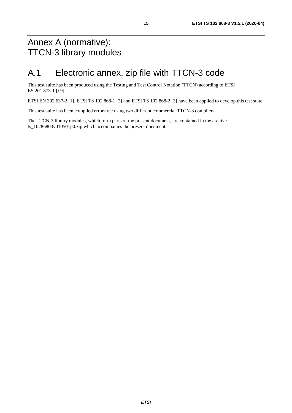## <span id="page-14-0"></span>Annex A (normative): TTCN-3 library modules

## A.1 Electronic annex, zip file with TTCN-3 code

This test suite has been produced using the Testing and Test Control Notation (TTCN) according to ETSI ES 201 873-1 [\[i.9](#page-6-0)].

ETSI EN 302 637-2 [\[1\]](#page-5-0), ETSI TS 102 868-1 [\[2\]](#page-5-0) and ETSI TS 102 868-2 [[3](#page-5-0)] have been applied to develop this test suite.

This test suite has been compiled error-free using two different commercial TTCN-3 compilers.

The TTCN-3 library modules, which form parts of the present document, are contained in the archive ts 10286803v010501p0.zip which accompanies the present document.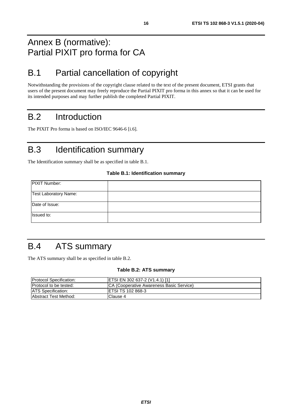## <span id="page-15-0"></span>Annex B (normative): Partial PIXIT pro forma for CA

## B.1 Partial cancellation of copyright

Notwithstanding the provisions of the copyright clause related to the text of the present document, ETSI grants that users of the present document may freely reproduce the Partial PIXIT pro forma in this annex so that it can be used for its intended purposes and may further publish the completed Partial PIXIT.

## B.2 Introduction

The PIXIT Pro forma is based on ISO/IEC 9646-6 [\[i.6](#page-6-0)].

## B.3 Identification summary

The Identification summary shall be as specified in table B.1.

#### **Table B.1: Identification summary**

| PIXIT Number:         |  |
|-----------------------|--|
| Test Laboratory Name: |  |
| Date of Issue:        |  |
| Issued to:            |  |

## B.4 ATS summary

The ATS summary shall be as specified in table B.2.

#### **Table B.2: ATS summary**

| <b>Protocol Specification:</b> | <b>ETSI EN 302 637-2 (V1.4.1) [1]</b>     |
|--------------------------------|-------------------------------------------|
| <b>Protocol to be tested:</b>  | ICA (Cooperative Awareness Basic Service) |
| <b>ATS</b> Specification:      | <b>IETSI TS 102 868-3</b>                 |
| <b>Abstract Test Method:</b>   | Clause 4                                  |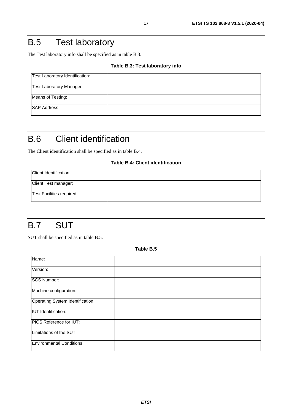## <span id="page-16-0"></span>B.5 Test laboratory

The Test laboratory info shall be specified as in table B.3.

#### **Table B.3: Test laboratory info**

| Test Laboratory Identification: |  |
|---------------------------------|--|
| Test Laboratory Manager:        |  |
| Means of Testing:               |  |
| <b>SAP Address:</b>             |  |

## B.6 Client identification

The Client identification shall be specified as in table B.4.

#### **Table B.4: Client identification**

| Client Identification:    |  |
|---------------------------|--|
| Client Test manager:      |  |
| Test Facilities required: |  |

## B.7 SUT

SUT shall be specified as in table B.5.

**Table B.5** 

| Name:                            |  |
|----------------------------------|--|
| Version:                         |  |
| <b>SCS Number:</b>               |  |
| Machine configuration:           |  |
| Operating System Identification: |  |
| <b>IUT</b> Identification:       |  |
| <b>PICS Reference for IUT:</b>   |  |
| Limitations of the SUT:          |  |
| <b>Environmental Conditions:</b> |  |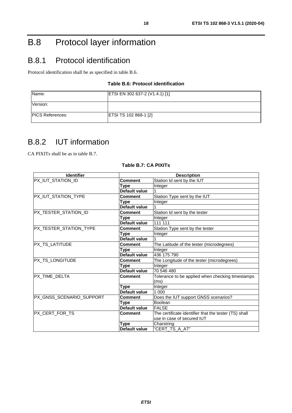## <span id="page-17-0"></span>B.8 Protocol layer information

## B.8.1 Protocol identification

Protocol identification shall be as specified in table B.6.

#### **Table B.6: Protocol identification**

| Name:                    | ETSI EN 302 637-2 (V1.4.1) [1] |
|--------------------------|--------------------------------|
| Version:                 |                                |
| <b>IPICS References:</b> | <b>ETSI TS 102 868-1 [2]</b>   |

### B.8.2 IUT information

CA PIXITs shall be as in table B.7.

| <b>Identifier</b>        | <b>Description</b> |                                                       |  |
|--------------------------|--------------------|-------------------------------------------------------|--|
| PX_IUT_STATION_ID        | Comment            | Station Id sent by the IUT                            |  |
|                          | Type               | Integer                                               |  |
|                          | Default value      |                                                       |  |
| PX_IUT_STATION_TYPE      | Comment            | Station Type sent by the IUT                          |  |
|                          | Type               | Integer                                               |  |
|                          | Default value      |                                                       |  |
| PX_TESTER_STATION_ID     | Comment            | Station Id sent by the tester                         |  |
|                          | Type               | Integer                                               |  |
|                          | Default value      | 111 111                                               |  |
| PX_TESTER_STATION_TYPE   | <b>Comment</b>     | Station Type sent by the tester                       |  |
|                          | Type               | Integer                                               |  |
|                          | Default value      |                                                       |  |
| PX_TS_LATITUDE           | Comment            | The Latitude of the tester (microdegrees)             |  |
|                          | Type               | Integer                                               |  |
|                          | Default value      | 436 175 790                                           |  |
| PX_TS_LONGITUDE          | <b>Comment</b>     | The Longitude of the tester (microdegrees)            |  |
|                          | Type               | Integer                                               |  |
|                          | Default value      | 70 546 480                                            |  |
| <b>PX TIME DELTA</b>     | Comment            | Tolerance to be applied when checking timestamps      |  |
|                          |                    | (ms)                                                  |  |
|                          | Type               | Integer                                               |  |
|                          | Default value      | 1 000                                                 |  |
| PX_GNSS_SCENARIO_SUPPORT | <b>Comment</b>     | Does the IUT support GNSS scenarios?                  |  |
|                          | Type               | Boolean                                               |  |
|                          | Default value      | <b>FALSE</b>                                          |  |
| PX_CERT_FOR_TS           | <b>Comment</b>     | The certificate identifier that the tester (TS) shall |  |
|                          |                    | use in case of secured IUT                            |  |
|                          | Type               | Charstring                                            |  |
|                          | Default value      | "CERT_TS A AT"                                        |  |

#### **Table B.7: CA PIXITs**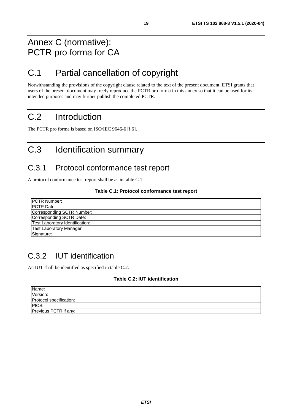## <span id="page-18-0"></span>Annex C (normative): PCTR pro forma for CA

## C.1 Partial cancellation of copyright

Notwithstanding the provisions of the copyright clause related to the text of the present document, ETSI grants that users of the present document may freely reproduce the PCTR pro forma in this annex so that it can be used for its intended purposes and may further publish the completed PCTR.

## C.2 Introduction

The PCTR pro forma is based on ISO/IEC 9646-6 [[i.6](#page-6-0)].

## C.3 Identification summary

### C.3.1 Protocol conformance test report

A protocol conformance test report shall be as in table C.1.

#### **Table C.1: Protocol conformance test report**

| <b>PCTR Number:</b>             |  |
|---------------------------------|--|
| <b>PCTR Date:</b>               |  |
| Corresponding SCTR Number:      |  |
| Corresponding SCTR Date:        |  |
| Test Laboratory Identification: |  |
| <b>Test Laboratory Manager:</b> |  |
| Signature:                      |  |

## C.3.2 IUT identification

An IUT shall be identified as specified in table C.2.

#### **Table C.2: IUT identification**

| Name:                   |  |
|-------------------------|--|
| Version:                |  |
| Protocol specification: |  |
| PICS:                   |  |
| Previous PCTR if any:   |  |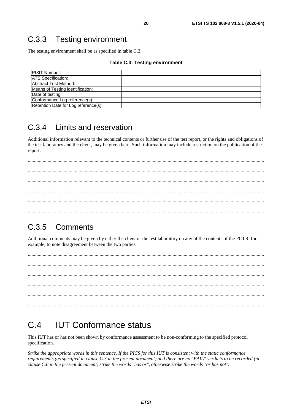### <span id="page-19-0"></span>C.3.3 Testing environment

The testing environment shall be as specified in table C.3.

#### **Table C.3: Testing environment**

| <b>IPIXIT Number:</b>                |  |
|--------------------------------------|--|
| <b>ATS Specification:</b>            |  |
| Abstract Test Method:                |  |
| Means of Testing identification:     |  |
| Date of testing:                     |  |
| Conformance Log reference(s):        |  |
| Retention Date for Log reference(s): |  |

## C.3.4 Limits and reservation

Additional information relevant to the technical contents or further use of the test report, or the rights and obligations of the test laboratory and the client, may be given here. Such information may include restriction on the publication of the report.

 ............................................................................................................................................................................................... ............................................................................................................................................................................................... ............................................................................................................................................................................................... ...............................................................................................................................................................................................

### C.3.5 Comments

Additional comments may be given by either the client or the test laboratory on any of the contents of the PCTR, for example, to note disagreement between the two parties.

 ............................................................................................................................................................................................... ............................................................................................................................................................................................... ............................................................................................................................................................................................... ............................................................................................................................................................................................... ............................................................................................................................................................................................... ...............................................................................................................................................................................................

## C.4 IUT Conformance status

This IUT has or has not been shown by conformance assessment to be non-conforming to the specified protocol specification.

*Strike the appropriate words in this sentence. If the PICS for this IUT is consistent with the static conformance requirements (as specified in clause C.3 in the present document) and there are no "FAIL" verdicts to be recorded (in clause C.6 in the present document) strike the words "has or", otherwise strike the words "or has not".*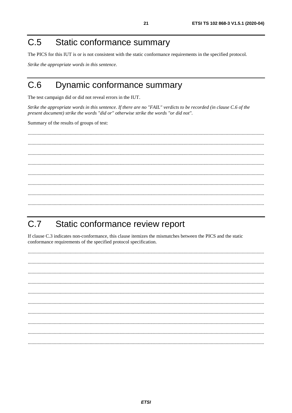#### <span id="page-20-0"></span>Static conformance summary  $C.5$

The PICS for this IUT is or is not consistent with the static conformance requirements in the specified protocol.

Strike the appropriate words in this sentence.

#### $C<sub>6</sub>$ Dynamic conformance summary

The test campaign did or did not reveal errors in the IUT.

Strike the appropriate words in this sentence. If there are no "FAIL" verdicts to be recorded (in clause C.6 of the present document) strike the words "did or" otherwise strike the words "or did not".

Summary of the results of groups of test:

#### $C.7$ Static conformance review report

If clause C.3 indicates non-conformance, this clause itemizes the mismatches between the PICS and the static conformance requirements of the specified protocol specification.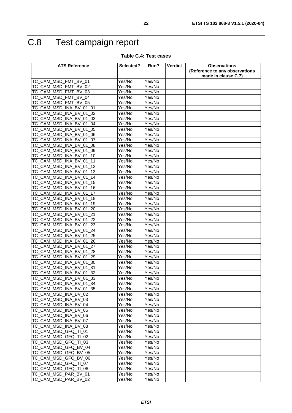## <span id="page-21-0"></span>C.8 Test campaign report

#### **Table C.4: Test cases**

| <b>ATS Reference</b>                                           | Selected?        | Run?             | Verdict | <b>Observations</b>            |
|----------------------------------------------------------------|------------------|------------------|---------|--------------------------------|
|                                                                |                  |                  |         | (Reference to any observations |
|                                                                |                  |                  |         | made in clause C.7)            |
| TC_CAM_MSD_FMT<br><b>BV 01</b>                                 | Yes/No           | Yes/No           |         |                                |
| TC_CAM_MSD_FMT<br>BV 02                                        | Yes/No           | Yes/No           |         |                                |
| TC_CAM_MSD_FMT<br>BV 03                                        | Yes/No           | Yes/No           |         |                                |
| TC CAM MSD FMT<br><b>BV 04</b>                                 | Yes/No           | Yes/No           |         |                                |
| TC_CAM_MSD_FMT<br><b>BV 05</b>                                 | Yes/No           | Yes/No           |         |                                |
| TC_CAM_MSD_INA_BV_01_01                                        | Yes/No           | Yes/No           |         |                                |
| CAM MSD INA<br><b>BV</b><br>01<br>02<br>TC                     | Yes/No           | Yes/No           |         |                                |
| TC_CAM_MSD<br><b>INA</b><br>BV 01<br>03                        | Yes/No           | Yes/No           |         |                                |
| CAM MSD<br><b>INA</b><br><b>BV</b><br>01<br>04<br>TC           | Yes/No           | Yes/No           |         |                                |
| TC CAM MSD INA BV<br>01<br>05                                  | Yes/No           | Yes/No           |         |                                |
| TC CAM MSD INA BV<br>01<br>06                                  | Yes/No           | Yes/No           |         |                                |
| TC_CAM_MSD_INA_BV_01<br>07                                     | Yes/No           | Yes/No           |         |                                |
| TC_CAM_MSD<br><b>BV</b><br><b>INA</b><br>01<br>08              | Yes/No           | Yes/No           |         |                                |
| TC_CAM_MSD_INA_BV<br>01<br>09                                  | Yes/No           | Yes/No           |         |                                |
| TC_CAM_MSD_INA_BV<br>01<br>10                                  | Yes/No           | Yes/No           |         |                                |
| TC CAM MSD<br><b>INA</b><br><b>BV</b><br>01<br>11              | Yes/No           | Yes/No           |         |                                |
| TC CAM MSD INA BV<br>12<br>01                                  | Yes/No           | Yes/No           |         |                                |
| TC_CAM_MSD_INA_BV_01<br>13                                     | Yes/No           | Yes/No           |         |                                |
| TC_CAM_MSD_INA_BV<br>14<br>01                                  | Yes/No           | Yes/No           |         |                                |
| TC CAM MSD INA BV<br>01<br>15                                  | Yes/No           | Yes/No           |         |                                |
| TC CAM MSD<br>INA BV<br>01<br>16                               | Yes/No           | Yes/No           |         |                                |
| TC_CAM_MSD<br><b>INA</b><br><b>BV</b><br>17<br>01              | Yes/No           | Yes/No           |         |                                |
| TC_CAM_MSD_INA_BV_01_18                                        | Yes/No           | Yes/No           |         |                                |
| <b>TC CAM MSD</b><br>$\overline{BV}$<br><b>INA</b><br>01<br>19 | Yes/No           | Yes/No           |         |                                |
| TC_CAM_MSD_INA_BV<br>20<br>01                                  | Yes/No           | Yes/No           |         |                                |
|                                                                |                  |                  |         |                                |
| TC_CAM_MSD_INA_BV_01_21<br>TC CAM MSD INA<br>BV<br>01<br>22    | Yes/No<br>Yes/No | Yes/No<br>Yes/No |         |                                |
|                                                                |                  |                  |         |                                |
| TC_CAM_MSD_INA_BV_01<br>23                                     | Yes/No           | Yes/No           |         |                                |
| TC_CAM_MSD<br><b>BV</b> 01<br><b>INA</b><br>24                 | Yes/No           | Yes/No           |         |                                |
| TC_CAM_MSD_INA_BV<br>01<br>25                                  | Yes/No           | Yes/No           |         |                                |
| TC_CAM_MSD_INA_BV<br>01<br>26                                  | Yes/No           | Yes/No           |         |                                |
| TC_CAM_MSD_INA_BV_01<br>27                                     | Yes/No           | Yes/No           |         |                                |
| TC_CAM_MSD_INA_BV_01<br>28                                     | Yes/No           | Yes/No           |         |                                |
| TC_CAM_MSD<br><b>BV</b><br>29<br>_INA<br>01                    | Yes/No           | Yes/No           |         |                                |
| TC CAM MSD INA<br><b>BV</b><br>01<br>30                        | Yes/No           | Yes/No           |         |                                |
| TC_CAM_MSD_INA_BV<br>01 31                                     | Yes/No           | Yes/No           |         |                                |
| TC_CAM_MSD_INA_BV_01<br>32                                     | Yes/No           | Yes/No           |         |                                |
| TC_CAM_MSD_INA_BV_01_33                                        | Yes/No           | Yes/No           |         |                                |
| TC_CAM_MSD_INA_BV_01_34                                        | Yes/No           | Yes/No           |         |                                |
| TC_CAM_MSD_INA_BV_01_35                                        | Yes/No           | Yes/No           |         |                                |
| TC_CAM_MSD_INA_BV_02                                           | Yes/No           | Yes/No           |         |                                |
| TC_CAM_MSD_INA_BV_03                                           | Yes/No           | Yes/No           |         |                                |
| TC_CAM_MSD_INA_BV_04                                           | Yes/No           | Yes/No           |         |                                |
| TC_CAM_MSD_INA_BV_05                                           | Yes/No           | Yes/No           |         |                                |
| TC_CAM_MSD_INA_BV_06                                           | Yes/No           | Yes/No           |         |                                |
| TC_CAM_MSD_INA_BV_07                                           | Yes/No           | Yes/No           |         |                                |
| TC_CAM_MSD_INA_BV_08                                           | Yes/No           | Yes/No           |         |                                |
| TC_CAM_MSD_GFQ_TI_01                                           | Yes/No           | Yes/No           |         |                                |
| TC_CAM_MSD_GFQ_TI_02                                           | Yes/No           | Yes/No           |         |                                |
| TC_CAM_MSD_GFQ_TI_03                                           | Yes/No           | Yes/No           |         |                                |
| TC_CAM_MSD_GFQ_BV_04                                           | Yes/No           | Yes/No           |         |                                |
| TC_CAM_MSD_GFQ_BV_05                                           | Yes/No           | Yes/No           |         |                                |
| TC_CAM_MSD_GFQ_BV_06                                           | Yes/No           | Yes/No           |         |                                |
| TC_CAM_MSD_GFQ_TI_07                                           | Yes/No           | Yes/No           |         |                                |
| TC_CAM_MSD_GFQ_TI_08                                           | Yes/No           | Yes/No           |         |                                |
| TC_CAM_MSD_PAR_BV_01                                           | Yes/No           | Yes/No           |         |                                |
| TC_CAM_MSD_PAR_BV_02                                           | Yes/No           | Yes/No           |         |                                |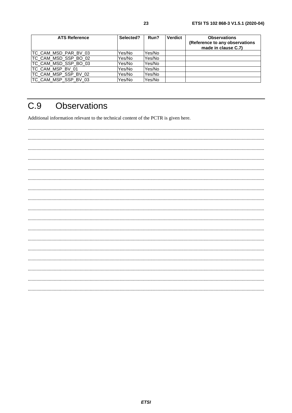<span id="page-22-0"></span>

| <b>ATS Reference</b> | Selected? | Run?   | <b>Verdict</b> | <b>Observations</b><br>(Reference to any observations<br>made in clause C.7) |
|----------------------|-----------|--------|----------------|------------------------------------------------------------------------------|
| TC_CAM_MSD_PAR_BV_03 | Yes/No    | Yes/No |                |                                                                              |
| TC CAM MSD SSP BO 02 | Yes/No    | Yes/No |                |                                                                              |
| TC_CAM_MSD_SSP_BO_03 | Yes/No    | Yes/No |                |                                                                              |
| TC_CAM_MSP_BV_01     | Yes/No    | Yes/No |                |                                                                              |
| TC_CAM_MSP_SSP_BV_02 | Yes/No    | Yes/No |                |                                                                              |
| TC_CAM_MSP_SSP_BV_03 | Yes/No    | Yes/No |                |                                                                              |

#### $C.9$ **Observations**

Additional information relevant to the technical content of the PCTR is given here.